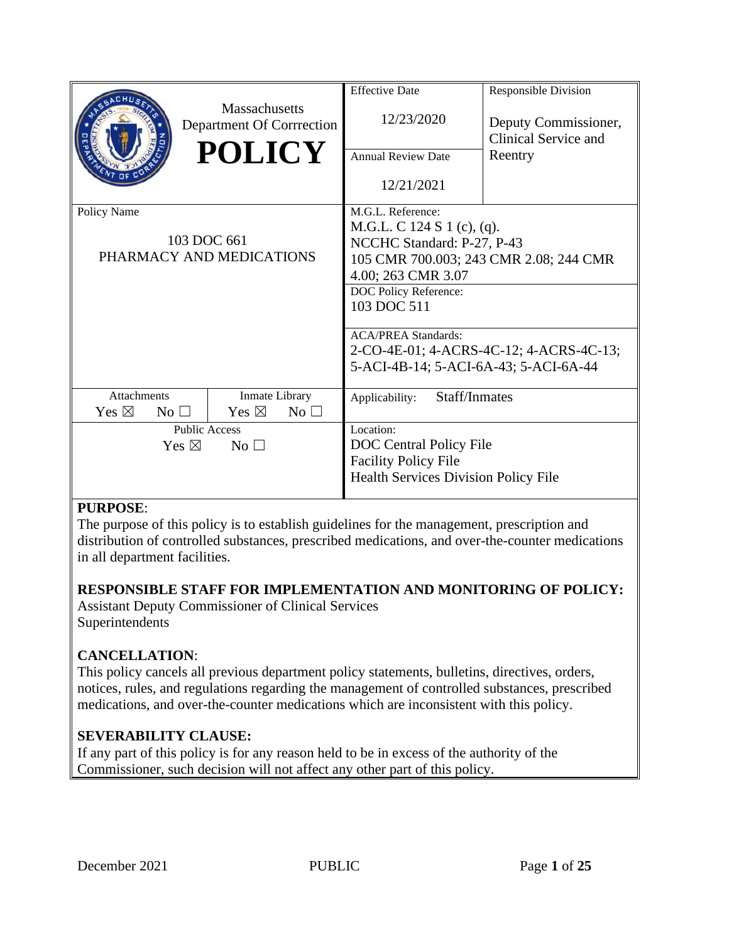|                                    |                                                   |                                         | <b>Effective Date</b>                  | <b>Responsible Division</b>                  |  |
|------------------------------------|---------------------------------------------------|-----------------------------------------|----------------------------------------|----------------------------------------------|--|
|                                    | <b>Massachusetts</b><br>Department Of Corrrection |                                         | 12/23/2020                             | Deputy Commissioner,<br>Clinical Service and |  |
|                                    | <b>POLICY</b>                                     |                                         | <b>Annual Review Date</b>              | Reentry                                      |  |
|                                    |                                                   |                                         | 12/21/2021                             |                                              |  |
| Policy Name                        |                                                   |                                         | M.G.L. Reference:                      |                                              |  |
|                                    |                                                   |                                         | M.G.L. C 124 S 1 (c), (q).             |                                              |  |
|                                    | 103 DOC 661                                       |                                         | NCCHC Standard: P-27, P-43             |                                              |  |
|                                    | PHARMACY AND MEDICATIONS                          |                                         | 105 CMR 700.003; 243 CMR 2.08; 244 CMR |                                              |  |
|                                    |                                                   | 4.00; 263 CMR 3.07                      |                                        |                                              |  |
|                                    |                                                   | DOC Policy Reference:                   |                                        |                                              |  |
|                                    |                                                   | 103 DOC 511                             |                                        |                                              |  |
|                                    |                                                   |                                         | <b>ACA/PREA Standards:</b>             |                                              |  |
|                                    |                                                   | 2-CO-4E-01; 4-ACRS-4C-12; 4-ACRS-4C-13; |                                        |                                              |  |
|                                    |                                                   | 5-ACI-4B-14; 5-ACI-6A-43; 5-ACI-6A-44   |                                        |                                              |  |
| <b>Attachments</b>                 | Inmate Library                                    |                                         | Staff/Inmates<br>Applicability:        |                                              |  |
| Yes $\boxtimes$<br>No <sub>1</sub> | Yes $\boxtimes$                                   | No <sub>1</sub>                         |                                        |                                              |  |
| <b>Public Access</b>               |                                                   | Location:                               |                                        |                                              |  |
| Yes $\boxtimes$<br>No <sub>1</sub> |                                                   | <b>DOC</b> Central Policy File          |                                        |                                              |  |
|                                    |                                                   | <b>Facility Policy File</b>             |                                        |                                              |  |
|                                    |                                                   |                                         | Health Services Division Policy File   |                                              |  |
|                                    |                                                   |                                         |                                        |                                              |  |

### **PURPOSE**:

The purpose of this policy is to establish guidelines for the management, prescription and distribution of controlled substances, prescribed medications, and over-the-counter medications in all department facilities.

### **RESPONSIBLE STAFF FOR IMPLEMENTATION AND MONITORING OF POLICY:**

Assistant Deputy Commissioner of Clinical Services Superintendents

### **CANCELLATION**:

This policy cancels all previous department policy statements, bulletins, directives, orders, notices, rules, and regulations regarding the management of controlled substances, prescribed medications, and over-the-counter medications which are inconsistent with this policy.

### **SEVERABILITY CLAUSE:**

If any part of this policy is for any reason held to be in excess of the authority of the Commissioner, such decision will not affect any other part of this policy.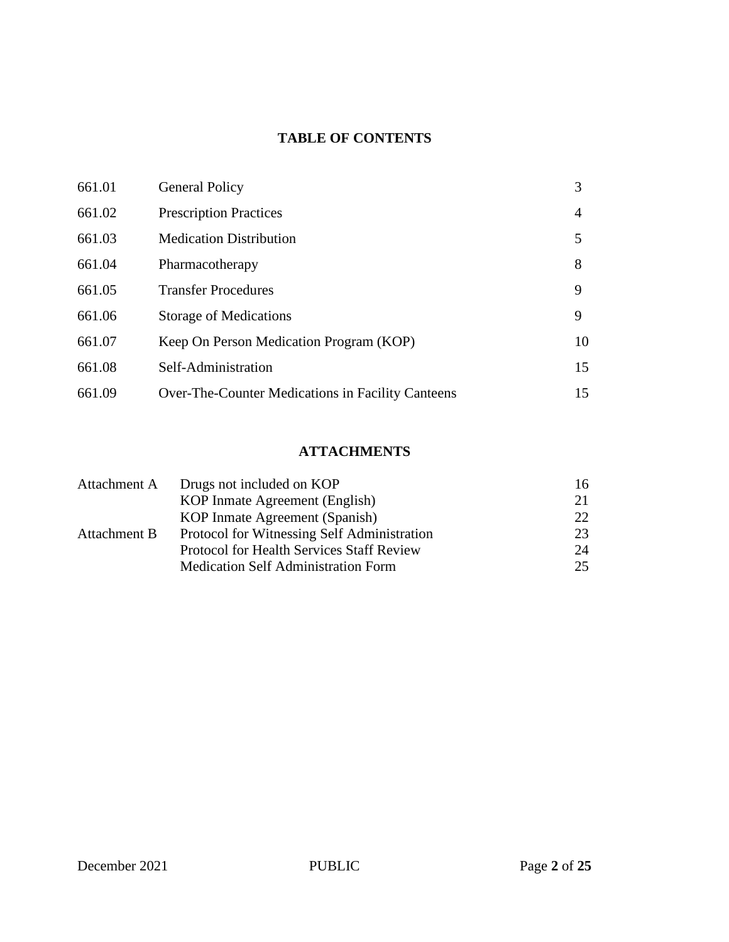# **TABLE OF CONTENTS**

| 661.01 | <b>General Policy</b>                             | 3  |
|--------|---------------------------------------------------|----|
| 661.02 | <b>Prescription Practices</b>                     | 4  |
| 661.03 | <b>Medication Distribution</b>                    | 5  |
| 661.04 | Pharmacotherapy                                   | 8  |
| 661.05 | <b>Transfer Procedures</b>                        | 9  |
| 661.06 | <b>Storage of Medications</b>                     | 9  |
| 661.07 | Keep On Person Medication Program (KOP)           | 10 |
| 661.08 | Self-Administration                               | 15 |
| 661.09 | Over-The-Counter Medications in Facility Canteens | 15 |

## **ATTACHMENTS**

| Attachment A | Drugs not included on KOP                   | 16  |
|--------------|---------------------------------------------|-----|
|              | KOP Inmate Agreement (English)              | 21  |
|              | KOP Inmate Agreement (Spanish)              | 22. |
| Attachment B | Protocol for Witnessing Self Administration | 23  |
|              | Protocol for Health Services Staff Review   | 24  |
|              | <b>Medication Self Administration Form</b>  | 25  |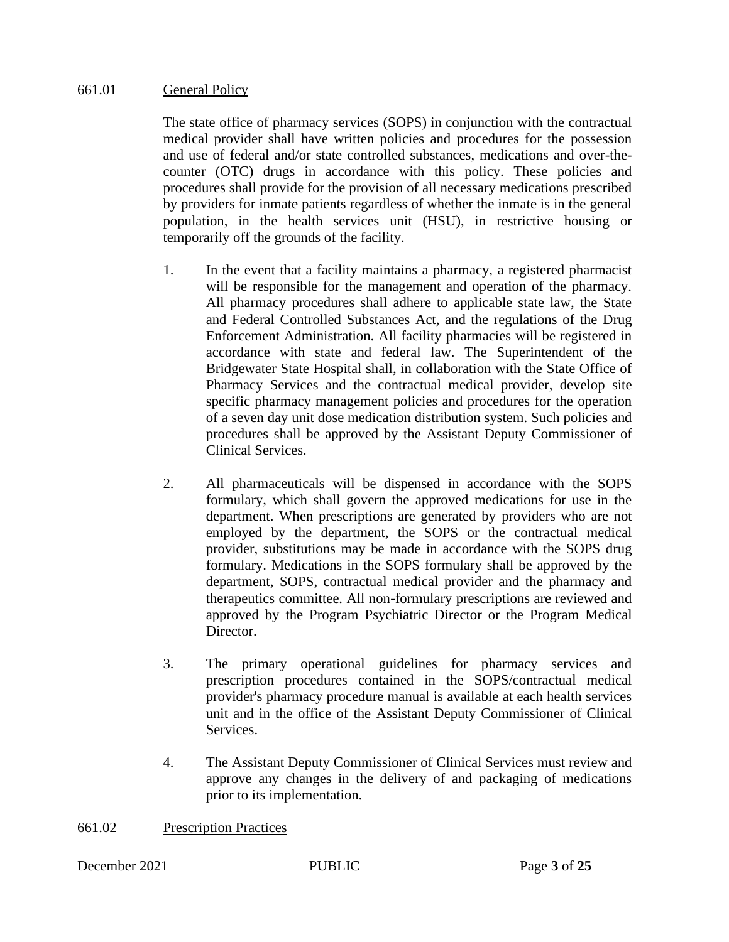#### 661.01 General Policy

The state office of pharmacy services (SOPS) in conjunction with the contractual medical provider shall have written policies and procedures for the possession and use of federal and/or state controlled substances, medications and over-thecounter (OTC) drugs in accordance with this policy. These policies and procedures shall provide for the provision of all necessary medications prescribed by providers for inmate patients regardless of whether the inmate is in the general population, in the health services unit (HSU), in restrictive housing or temporarily off the grounds of the facility.

- 1. In the event that a facility maintains a pharmacy, a registered pharmacist will be responsible for the management and operation of the pharmacy. All pharmacy procedures shall adhere to applicable state law, the State and Federal Controlled Substances Act, and the regulations of the Drug Enforcement Administration. All facility pharmacies will be registered in accordance with state and federal law. The Superintendent of the Bridgewater State Hospital shall, in collaboration with the State Office of Pharmacy Services and the contractual medical provider, develop site specific pharmacy management policies and procedures for the operation of a seven day unit dose medication distribution system. Such policies and procedures shall be approved by the Assistant Deputy Commissioner of Clinical Services.
- 2. All pharmaceuticals will be dispensed in accordance with the SOPS formulary, which shall govern the approved medications for use in the department. When prescriptions are generated by providers who are not employed by the department, the SOPS or the contractual medical provider, substitutions may be made in accordance with the SOPS drug formulary. Medications in the SOPS formulary shall be approved by the department, SOPS, contractual medical provider and the pharmacy and therapeutics committee. All non-formulary prescriptions are reviewed and approved by the Program Psychiatric Director or the Program Medical Director.
- 3. The primary operational guidelines for pharmacy services and prescription procedures contained in the SOPS/contractual medical provider's pharmacy procedure manual is available at each health services unit and in the office of the Assistant Deputy Commissioner of Clinical Services.
- 4. The Assistant Deputy Commissioner of Clinical Services must review and approve any changes in the delivery of and packaging of medications prior to its implementation.

661.02 Prescription Practices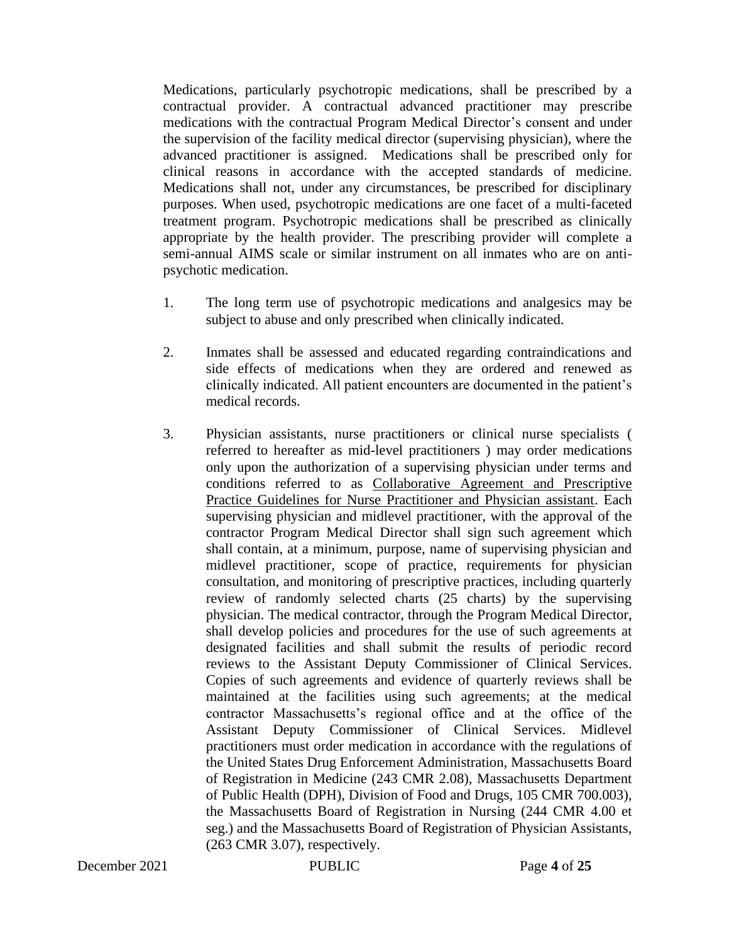Medications, particularly psychotropic medications, shall be prescribed by a contractual provider. A contractual advanced practitioner may prescribe medications with the contractual Program Medical Director's consent and under the supervision of the facility medical director (supervising physician), where the advanced practitioner is assigned. Medications shall be prescribed only for clinical reasons in accordance with the accepted standards of medicine. Medications shall not, under any circumstances, be prescribed for disciplinary purposes. When used, psychotropic medications are one facet of a multi-faceted treatment program. Psychotropic medications shall be prescribed as clinically appropriate by the health provider. The prescribing provider will complete a semi-annual AIMS scale or similar instrument on all inmates who are on antipsychotic medication.

- 1. The long term use of psychotropic medications and analgesics may be subject to abuse and only prescribed when clinically indicated.
- 2. Inmates shall be assessed and educated regarding contraindications and side effects of medications when they are ordered and renewed as clinically indicated. All patient encounters are documented in the patient's medical records.
- 3. Physician assistants, nurse practitioners or clinical nurse specialists ( referred to hereafter as mid-level practitioners ) may order medications only upon the authorization of a supervising physician under terms and conditions referred to as Collaborative Agreement and Prescriptive Practice Guidelines for Nurse Practitioner and Physician assistant. Each supervising physician and midlevel practitioner, with the approval of the contractor Program Medical Director shall sign such agreement which shall contain, at a minimum, purpose, name of supervising physician and midlevel practitioner, scope of practice, requirements for physician consultation, and monitoring of prescriptive practices, including quarterly review of randomly selected charts (25 charts) by the supervising physician. The medical contractor, through the Program Medical Director, shall develop policies and procedures for the use of such agreements at designated facilities and shall submit the results of periodic record reviews to the Assistant Deputy Commissioner of Clinical Services. Copies of such agreements and evidence of quarterly reviews shall be maintained at the facilities using such agreements; at the medical contractor Massachusetts's regional office and at the office of the Assistant Deputy Commissioner of Clinical Services. Midlevel practitioners must order medication in accordance with the regulations of the United States Drug Enforcement Administration, Massachusetts Board of Registration in Medicine (243 CMR 2.08), Massachusetts Department of Public Health (DPH), Division of Food and Drugs, 105 CMR 700.003), the Massachusetts Board of Registration in Nursing (244 CMR 4.00 et seg.) and the Massachusetts Board of Registration of Physician Assistants, (263 CMR 3.07), respectively.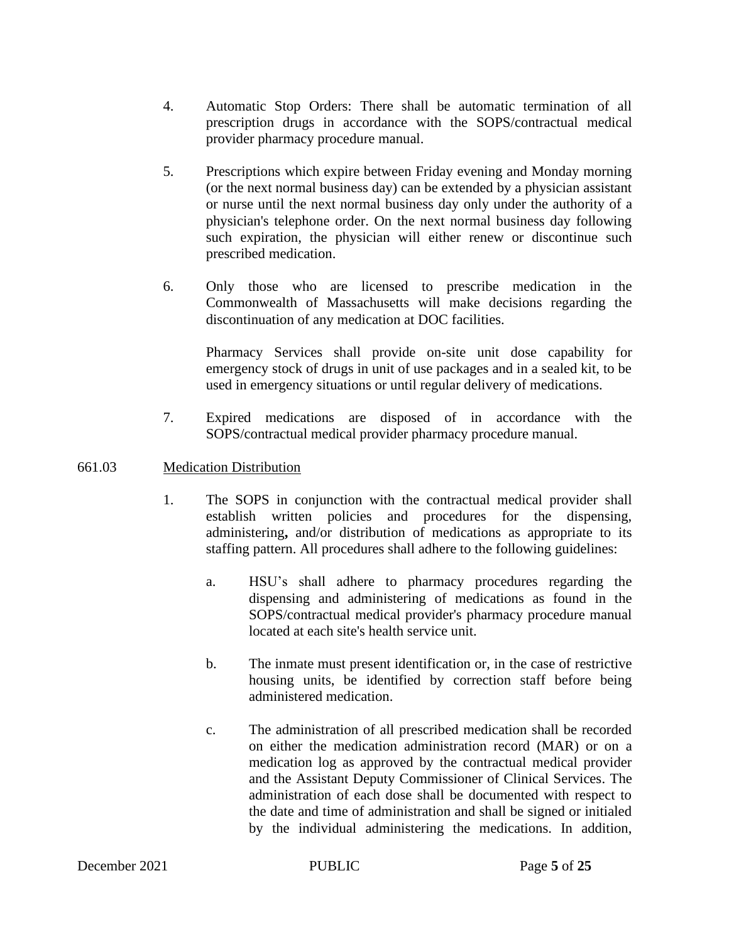- 4. Automatic Stop Orders: There shall be automatic termination of all prescription drugs in accordance with the SOPS/contractual medical provider pharmacy procedure manual.
- 5. Prescriptions which expire between Friday evening and Monday morning (or the next normal business day) can be extended by a physician assistant or nurse until the next normal business day only under the authority of a physician's telephone order. On the next normal business day following such expiration, the physician will either renew or discontinue such prescribed medication.
- 6. Only those who are licensed to prescribe medication in the Commonwealth of Massachusetts will make decisions regarding the discontinuation of any medication at DOC facilities.

Pharmacy Services shall provide on-site unit dose capability for emergency stock of drugs in unit of use packages and in a sealed kit, to be used in emergency situations or until regular delivery of medications.

- 7. Expired medications are disposed of in accordance with the SOPS/contractual medical provider pharmacy procedure manual.
- 661.03 Medication Distribution
	- 1. The SOPS in conjunction with the contractual medical provider shall establish written policies and procedures for the dispensing, administering**,** and/or distribution of medications as appropriate to its staffing pattern. All procedures shall adhere to the following guidelines:
		- a. HSU's shall adhere to pharmacy procedures regarding the dispensing and administering of medications as found in the SOPS/contractual medical provider's pharmacy procedure manual located at each site's health service unit.
		- b. The inmate must present identification or, in the case of restrictive housing units, be identified by correction staff before being administered medication.
		- c. The administration of all prescribed medication shall be recorded on either the medication administration record (MAR) or on a medication log as approved by the contractual medical provider and the Assistant Deputy Commissioner of Clinical Services. The administration of each dose shall be documented with respect to the date and time of administration and shall be signed or initialed by the individual administering the medications. In addition,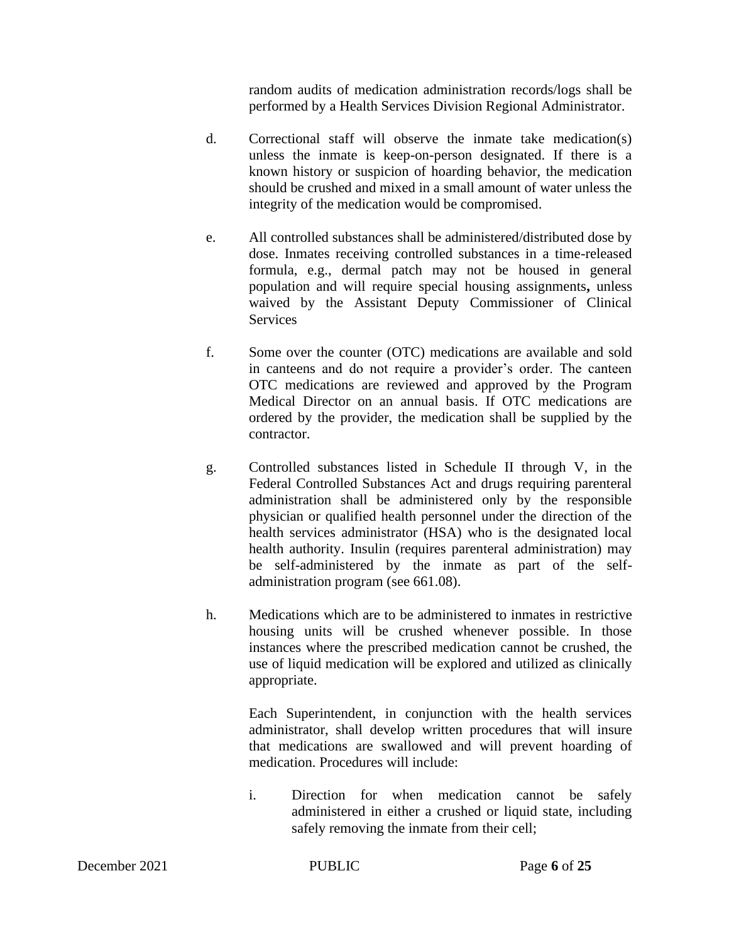random audits of medication administration records/logs shall be performed by a Health Services Division Regional Administrator.

- d. Correctional staff will observe the inmate take medication(s) unless the inmate is keep-on-person designated. If there is a known history or suspicion of hoarding behavior, the medication should be crushed and mixed in a small amount of water unless the integrity of the medication would be compromised.
- e. All controlled substances shall be administered/distributed dose by dose. Inmates receiving controlled substances in a time-released formula, e.g., dermal patch may not be housed in general population and will require special housing assignments**,** unless waived by the Assistant Deputy Commissioner of Clinical Services
- f. Some over the counter (OTC) medications are available and sold in canteens and do not require a provider's order. The canteen OTC medications are reviewed and approved by the Program Medical Director on an annual basis. If OTC medications are ordered by the provider, the medication shall be supplied by the contractor.
- g. Controlled substances listed in Schedule II through V, in the Federal Controlled Substances Act and drugs requiring parenteral administration shall be administered only by the responsible physician or qualified health personnel under the direction of the health services administrator (HSA) who is the designated local health authority. Insulin (requires parenteral administration) may be self-administered by the inmate as part of the selfadministration program (see 661.08).
- h. Medications which are to be administered to inmates in restrictive housing units will be crushed whenever possible. In those instances where the prescribed medication cannot be crushed, the use of liquid medication will be explored and utilized as clinically appropriate.

Each Superintendent, in conjunction with the health services administrator, shall develop written procedures that will insure that medications are swallowed and will prevent hoarding of medication. Procedures will include:

i. Direction for when medication cannot be safely administered in either a crushed or liquid state, including safely removing the inmate from their cell;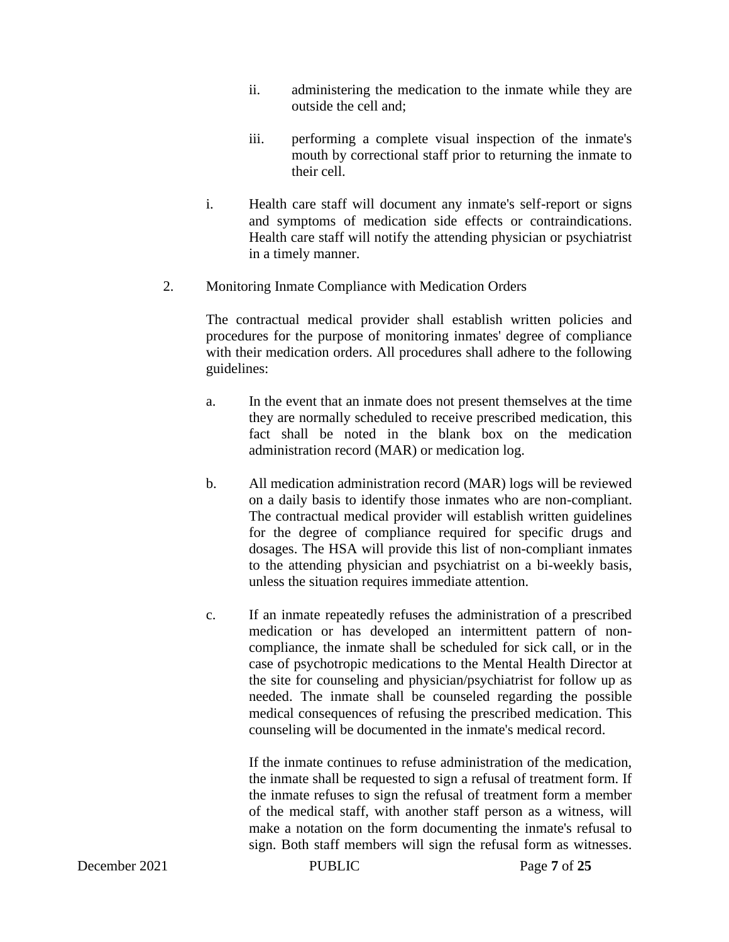- ii. administering the medication to the inmate while they are outside the cell and;
- iii. performing a complete visual inspection of the inmate's mouth by correctional staff prior to returning the inmate to their cell.
- i. Health care staff will document any inmate's self-report or signs and symptoms of medication side effects or contraindications. Health care staff will notify the attending physician or psychiatrist in a timely manner.
- 2. Monitoring Inmate Compliance with Medication Orders

The contractual medical provider shall establish written policies and procedures for the purpose of monitoring inmates' degree of compliance with their medication orders. All procedures shall adhere to the following guidelines:

- a. In the event that an inmate does not present themselves at the time they are normally scheduled to receive prescribed medication, this fact shall be noted in the blank box on the medication administration record (MAR) or medication log.
- b. All medication administration record (MAR) logs will be reviewed on a daily basis to identify those inmates who are non-compliant. The contractual medical provider will establish written guidelines for the degree of compliance required for specific drugs and dosages. The HSA will provide this list of non-compliant inmates to the attending physician and psychiatrist on a bi-weekly basis, unless the situation requires immediate attention.
- c. If an inmate repeatedly refuses the administration of a prescribed medication or has developed an intermittent pattern of noncompliance, the inmate shall be scheduled for sick call, or in the case of psychotropic medications to the Mental Health Director at the site for counseling and physician/psychiatrist for follow up as needed. The inmate shall be counseled regarding the possible medical consequences of refusing the prescribed medication. This counseling will be documented in the inmate's medical record.

If the inmate continues to refuse administration of the medication, the inmate shall be requested to sign a refusal of treatment form. If the inmate refuses to sign the refusal of treatment form a member of the medical staff, with another staff person as a witness, will make a notation on the form documenting the inmate's refusal to sign. Both staff members will sign the refusal form as witnesses.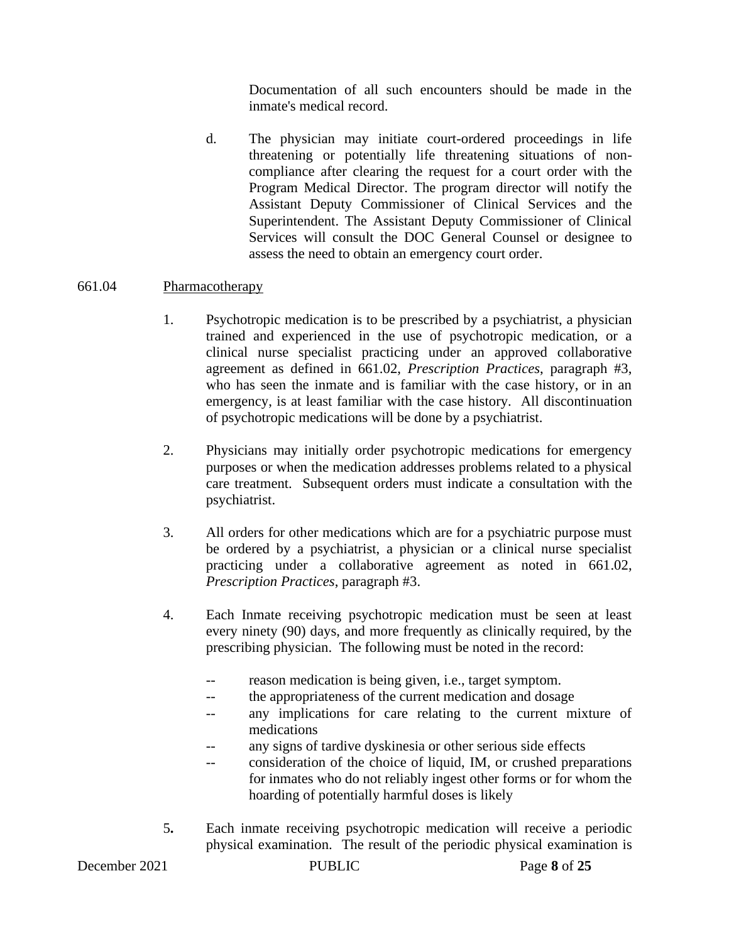Documentation of all such encounters should be made in the inmate's medical record.

d. The physician may initiate court-ordered proceedings in life threatening or potentially life threatening situations of noncompliance after clearing the request for a court order with the Program Medical Director. The program director will notify the Assistant Deputy Commissioner of Clinical Services and the Superintendent. The Assistant Deputy Commissioner of Clinical Services will consult the DOC General Counsel or designee to assess the need to obtain an emergency court order.

### 661.04 Pharmacotherapy

- 1. Psychotropic medication is to be prescribed by a psychiatrist, a physician trained and experienced in the use of psychotropic medication, or a clinical nurse specialist practicing under an approved collaborative agreement as defined in 661.02, *Prescription Practices*, paragraph #3, who has seen the inmate and is familiar with the case history, or in an emergency, is at least familiar with the case history. All discontinuation of psychotropic medications will be done by a psychiatrist.
- 2. Physicians may initially order psychotropic medications for emergency purposes or when the medication addresses problems related to a physical care treatment. Subsequent orders must indicate a consultation with the psychiatrist.
- 3. All orders for other medications which are for a psychiatric purpose must be ordered by a psychiatrist, a physician or a clinical nurse specialist practicing under a collaborative agreement as noted in 661.02, *Prescription Practices*, paragraph #3.
- 4. Each Inmate receiving psychotropic medication must be seen at least every ninety (90) days, and more frequently as clinically required, by the prescribing physician. The following must be noted in the record:
	- -- reason medication is being given, i.e., target symptom.
	- -- the appropriateness of the current medication and dosage
	- -- any implications for care relating to the current mixture of medications
	- any signs of tardive dyskinesia or other serious side effects
	- -- consideration of the choice of liquid, IM, or crushed preparations for inmates who do not reliably ingest other forms or for whom the hoarding of potentially harmful doses is likely
- 5**.** Each inmate receiving psychotropic medication will receive a periodic physical examination. The result of the periodic physical examination is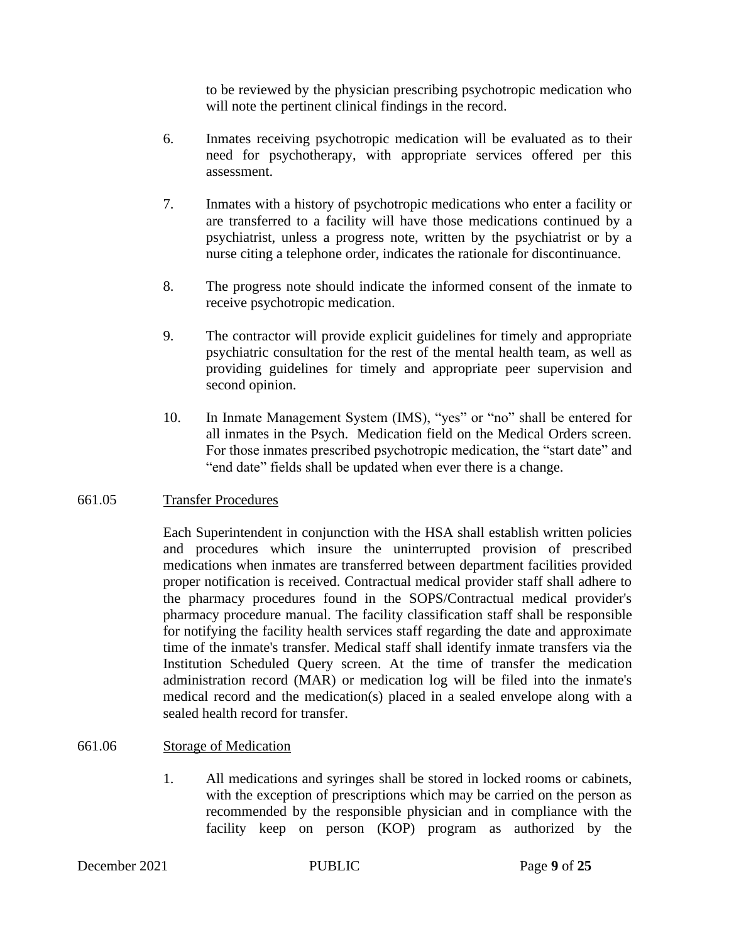to be reviewed by the physician prescribing psychotropic medication who will note the pertinent clinical findings in the record.

- 6. Inmates receiving psychotropic medication will be evaluated as to their need for psychotherapy, with appropriate services offered per this assessment.
- 7. Inmates with a history of psychotropic medications who enter a facility or are transferred to a facility will have those medications continued by a psychiatrist, unless a progress note, written by the psychiatrist or by a nurse citing a telephone order, indicates the rationale for discontinuance.
- 8. The progress note should indicate the informed consent of the inmate to receive psychotropic medication.
- 9. The contractor will provide explicit guidelines for timely and appropriate psychiatric consultation for the rest of the mental health team, as well as providing guidelines for timely and appropriate peer supervision and second opinion.
- 10. In Inmate Management System (IMS), "yes" or "no" shall be entered for all inmates in the Psych. Medication field on the Medical Orders screen. For those inmates prescribed psychotropic medication, the "start date" and "end date" fields shall be updated when ever there is a change.

#### 661.05 Transfer Procedures

Each Superintendent in conjunction with the HSA shall establish written policies and procedures which insure the uninterrupted provision of prescribed medications when inmates are transferred between department facilities provided proper notification is received. Contractual medical provider staff shall adhere to the pharmacy procedures found in the SOPS/Contractual medical provider's pharmacy procedure manual. The facility classification staff shall be responsible for notifying the facility health services staff regarding the date and approximate time of the inmate's transfer. Medical staff shall identify inmate transfers via the Institution Scheduled Query screen. At the time of transfer the medication administration record (MAR) or medication log will be filed into the inmate's medical record and the medication(s) placed in a sealed envelope along with a sealed health record for transfer.

#### 661.06 Storage of Medication

1. All medications and syringes shall be stored in locked rooms or cabinets, with the exception of prescriptions which may be carried on the person as recommended by the responsible physician and in compliance with the facility keep on person (KOP) program as authorized by the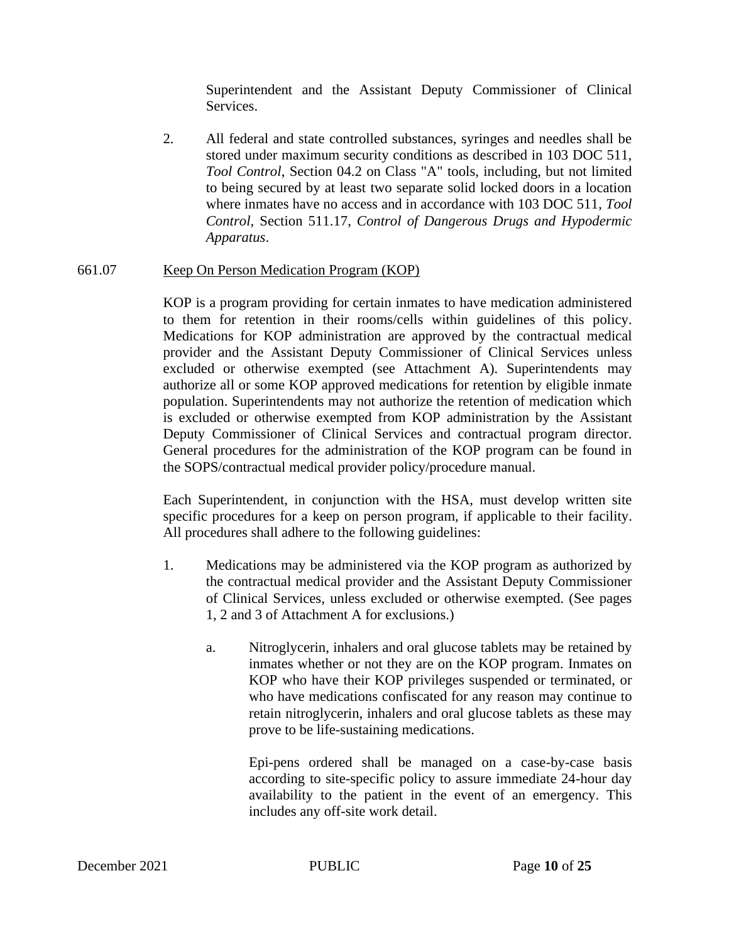Superintendent and the Assistant Deputy Commissioner of Clinical Services.

2. All federal and state controlled substances, syringes and needles shall be stored under maximum security conditions as described in 103 DOC 511, *Tool Control*, Section 04.2 on Class "A" tools, including, but not limited to being secured by at least two separate solid locked doors in a location where inmates have no access and in accordance with 103 DOC 511, *Tool Control*, Section 511.17, *Control of Dangerous Drugs and Hypodermic Apparatus*.

#### 661.07 Keep On Person Medication Program (KOP)

KOP is a program providing for certain inmates to have medication administered to them for retention in their rooms/cells within guidelines of this policy. Medications for KOP administration are approved by the contractual medical provider and the Assistant Deputy Commissioner of Clinical Services unless excluded or otherwise exempted (see Attachment A). Superintendents may authorize all or some KOP approved medications for retention by eligible inmate population. Superintendents may not authorize the retention of medication which is excluded or otherwise exempted from KOP administration by the Assistant Deputy Commissioner of Clinical Services and contractual program director. General procedures for the administration of the KOP program can be found in the SOPS/contractual medical provider policy/procedure manual.

Each Superintendent, in conjunction with the HSA, must develop written site specific procedures for a keep on person program, if applicable to their facility. All procedures shall adhere to the following guidelines:

- 1. Medications may be administered via the KOP program as authorized by the contractual medical provider and the Assistant Deputy Commissioner of Clinical Services, unless excluded or otherwise exempted. (See pages 1, 2 and 3 of Attachment A for exclusions.)
	- a. Nitroglycerin, inhalers and oral glucose tablets may be retained by inmates whether or not they are on the KOP program. Inmates on KOP who have their KOP privileges suspended or terminated, or who have medications confiscated for any reason may continue to retain nitroglycerin, inhalers and oral glucose tablets as these may prove to be life-sustaining medications.

Epi-pens ordered shall be managed on a case-by-case basis according to site-specific policy to assure immediate 24-hour day availability to the patient in the event of an emergency. This includes any off-site work detail.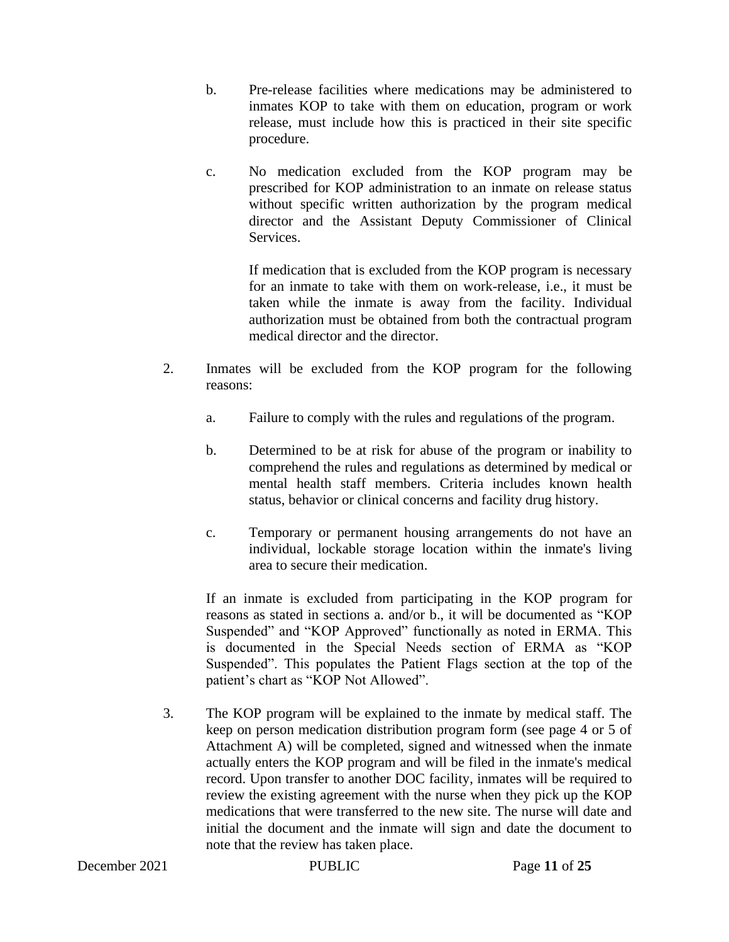- b. Pre-release facilities where medications may be administered to inmates KOP to take with them on education, program or work release, must include how this is practiced in their site specific procedure.
- c. No medication excluded from the KOP program may be prescribed for KOP administration to an inmate on release status without specific written authorization by the program medical director and the Assistant Deputy Commissioner of Clinical Services.

If medication that is excluded from the KOP program is necessary for an inmate to take with them on work-release, i.e., it must be taken while the inmate is away from the facility. Individual authorization must be obtained from both the contractual program medical director and the director.

- 2. Inmates will be excluded from the KOP program for the following reasons:
	- a. Failure to comply with the rules and regulations of the program.
	- b. Determined to be at risk for abuse of the program or inability to comprehend the rules and regulations as determined by medical or mental health staff members. Criteria includes known health status, behavior or clinical concerns and facility drug history.
	- c. Temporary or permanent housing arrangements do not have an individual, lockable storage location within the inmate's living area to secure their medication.

If an inmate is excluded from participating in the KOP program for reasons as stated in sections a. and/or b., it will be documented as "KOP Suspended" and "KOP Approved" functionally as noted in ERMA. This is documented in the Special Needs section of ERMA as "KOP Suspended". This populates the Patient Flags section at the top of the patient's chart as "KOP Not Allowed".

3. The KOP program will be explained to the inmate by medical staff. The keep on person medication distribution program form (see page 4 or 5 of Attachment A) will be completed, signed and witnessed when the inmate actually enters the KOP program and will be filed in the inmate's medical record. Upon transfer to another DOC facility, inmates will be required to review the existing agreement with the nurse when they pick up the KOP medications that were transferred to the new site. The nurse will date and initial the document and the inmate will sign and date the document to note that the review has taken place.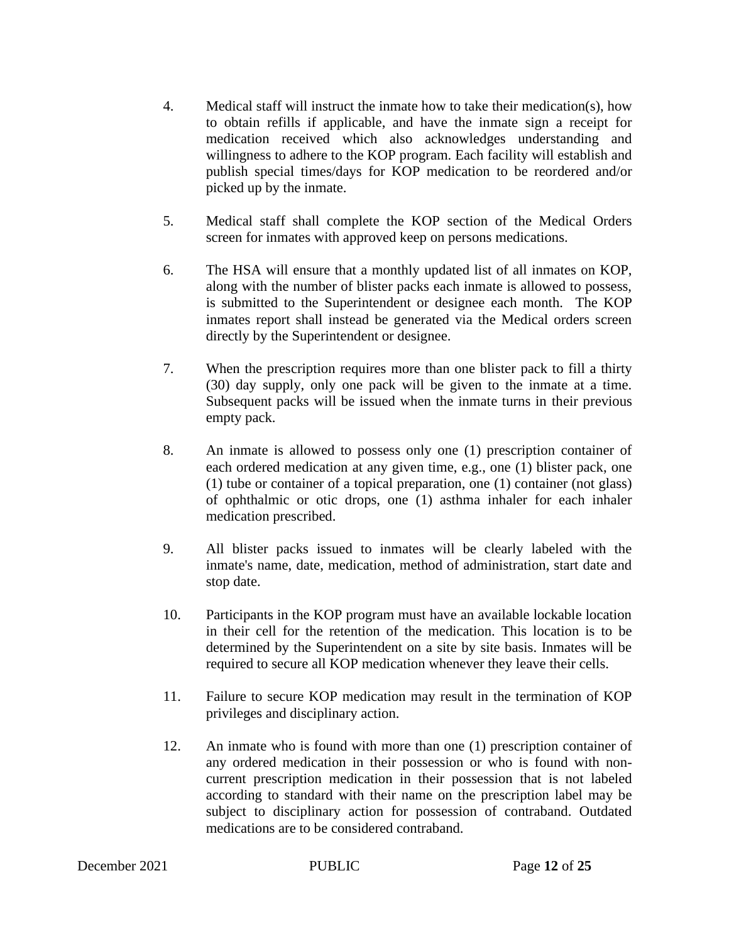- 4. Medical staff will instruct the inmate how to take their medication(s), how to obtain refills if applicable, and have the inmate sign a receipt for medication received which also acknowledges understanding and willingness to adhere to the KOP program. Each facility will establish and publish special times/days for KOP medication to be reordered and/or picked up by the inmate.
- 5. Medical staff shall complete the KOP section of the Medical Orders screen for inmates with approved keep on persons medications.
- 6. The HSA will ensure that a monthly updated list of all inmates on KOP, along with the number of blister packs each inmate is allowed to possess, is submitted to the Superintendent or designee each month. The KOP inmates report shall instead be generated via the Medical orders screen directly by the Superintendent or designee.
- 7. When the prescription requires more than one blister pack to fill a thirty (30) day supply, only one pack will be given to the inmate at a time. Subsequent packs will be issued when the inmate turns in their previous empty pack.
- 8. An inmate is allowed to possess only one (1) prescription container of each ordered medication at any given time, e.g., one (1) blister pack, one (1) tube or container of a topical preparation, one (1) container (not glass) of ophthalmic or otic drops, one (1) asthma inhaler for each inhaler medication prescribed.
- 9. All blister packs issued to inmates will be clearly labeled with the inmate's name, date, medication, method of administration, start date and stop date.
- 10. Participants in the KOP program must have an available lockable location in their cell for the retention of the medication. This location is to be determined by the Superintendent on a site by site basis. Inmates will be required to secure all KOP medication whenever they leave their cells.
- 11. Failure to secure KOP medication may result in the termination of KOP privileges and disciplinary action.
- 12. An inmate who is found with more than one (1) prescription container of any ordered medication in their possession or who is found with noncurrent prescription medication in their possession that is not labeled according to standard with their name on the prescription label may be subject to disciplinary action for possession of contraband. Outdated medications are to be considered contraband.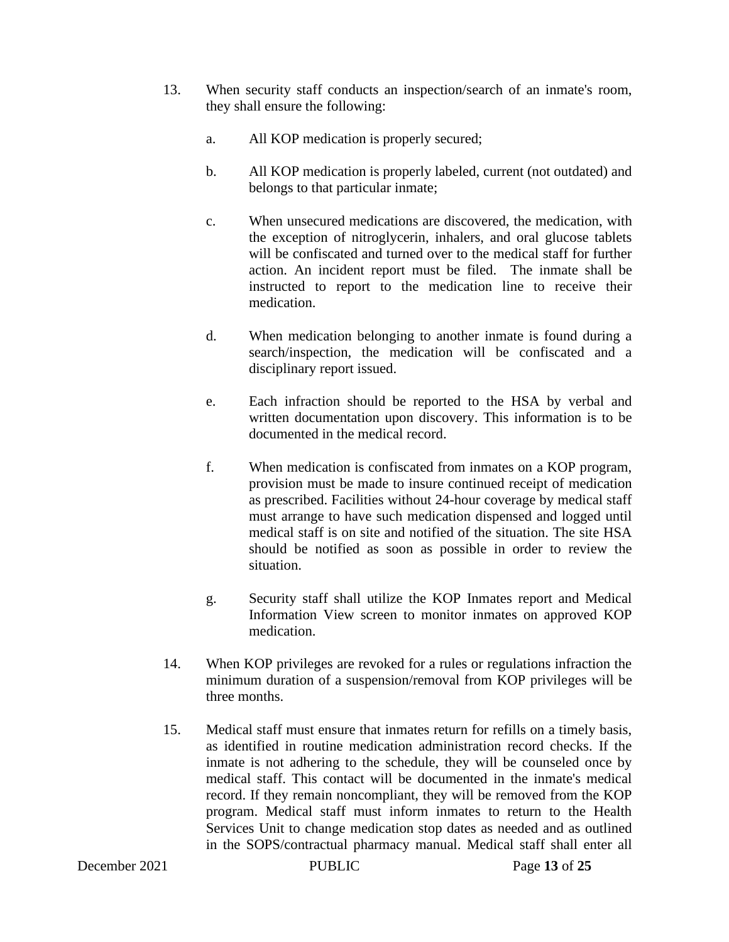- 13. When security staff conducts an inspection/search of an inmate's room, they shall ensure the following:
	- a. All KOP medication is properly secured;
	- b. All KOP medication is properly labeled, current (not outdated) and belongs to that particular inmate;
	- c. When unsecured medications are discovered, the medication, with the exception of nitroglycerin, inhalers, and oral glucose tablets will be confiscated and turned over to the medical staff for further action. An incident report must be filed.The inmate shall be instructed to report to the medication line to receive their medication.
	- d. When medication belonging to another inmate is found during a search/inspection, the medication will be confiscated and a disciplinary report issued.
	- e. Each infraction should be reported to the HSA by verbal and written documentation upon discovery. This information is to be documented in the medical record.
	- f. When medication is confiscated from inmates on a KOP program, provision must be made to insure continued receipt of medication as prescribed. Facilities without 24-hour coverage by medical staff must arrange to have such medication dispensed and logged until medical staff is on site and notified of the situation. The site HSA should be notified as soon as possible in order to review the situation.
	- g. Security staff shall utilize the KOP Inmates report and Medical Information View screen to monitor inmates on approved KOP medication.
- 14. When KOP privileges are revoked for a rules or regulations infraction the minimum duration of a suspension/removal from KOP privileges will be three months.
- 15. Medical staff must ensure that inmates return for refills on a timely basis, as identified in routine medication administration record checks. If the inmate is not adhering to the schedule, they will be counseled once by medical staff. This contact will be documented in the inmate's medical record. If they remain noncompliant, they will be removed from the KOP program. Medical staff must inform inmates to return to the Health Services Unit to change medication stop dates as needed and as outlined in the SOPS/contractual pharmacy manual. Medical staff shall enter all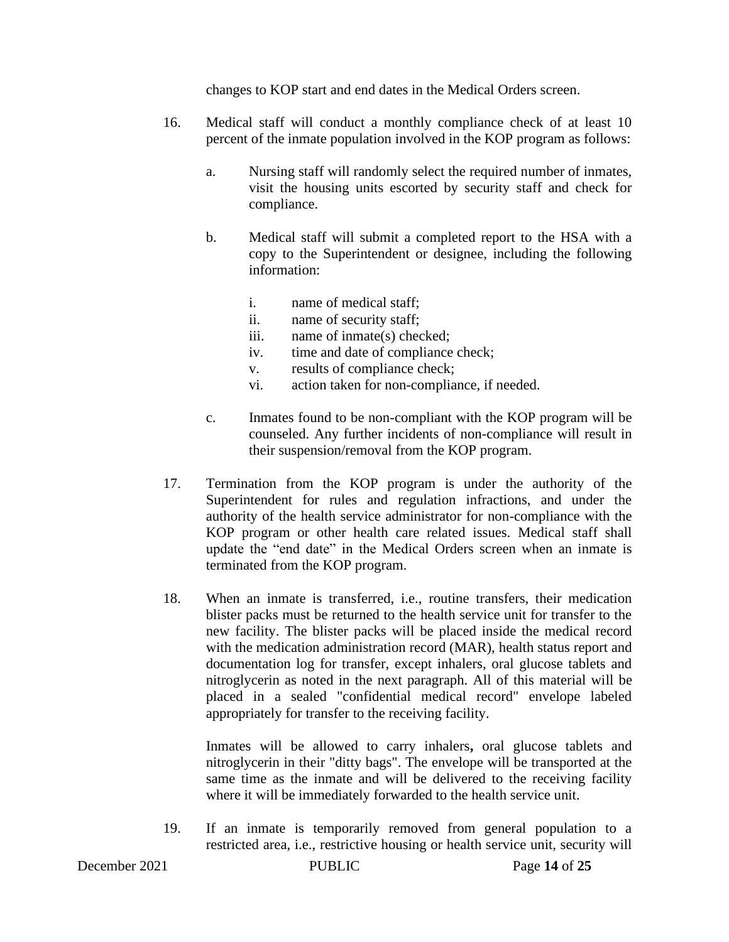changes to KOP start and end dates in the Medical Orders screen.

- 16. Medical staff will conduct a monthly compliance check of at least 10 percent of the inmate population involved in the KOP program as follows:
	- a. Nursing staff will randomly select the required number of inmates, visit the housing units escorted by security staff and check for compliance.
	- b. Medical staff will submit a completed report to the HSA with a copy to the Superintendent or designee, including the following information:
		- i. name of medical staff;
		- ii. name of security staff;
		- iii. name of inmate(s) checked;
		- iv. time and date of compliance check;
		- v. results of compliance check;
		- vi. action taken for non-compliance, if needed.
	- c. Inmates found to be non-compliant with the KOP program will be counseled. Any further incidents of non-compliance will result in their suspension/removal from the KOP program.
- 17. Termination from the KOP program is under the authority of the Superintendent for rules and regulation infractions, and under the authority of the health service administrator for non-compliance with the KOP program or other health care related issues. Medical staff shall update the "end date" in the Medical Orders screen when an inmate is terminated from the KOP program.
- 18. When an inmate is transferred, i.e., routine transfers, their medication blister packs must be returned to the health service unit for transfer to the new facility. The blister packs will be placed inside the medical record with the medication administration record (MAR), health status report and documentation log for transfer, except inhalers, oral glucose tablets and nitroglycerin as noted in the next paragraph. All of this material will be placed in a sealed "confidential medical record" envelope labeled appropriately for transfer to the receiving facility.

Inmates will be allowed to carry inhalers**,** oral glucose tablets and nitroglycerin in their "ditty bags". The envelope will be transported at the same time as the inmate and will be delivered to the receiving facility where it will be immediately forwarded to the health service unit.

19. If an inmate is temporarily removed from general population to a restricted area, i.e., restrictive housing or health service unit, security will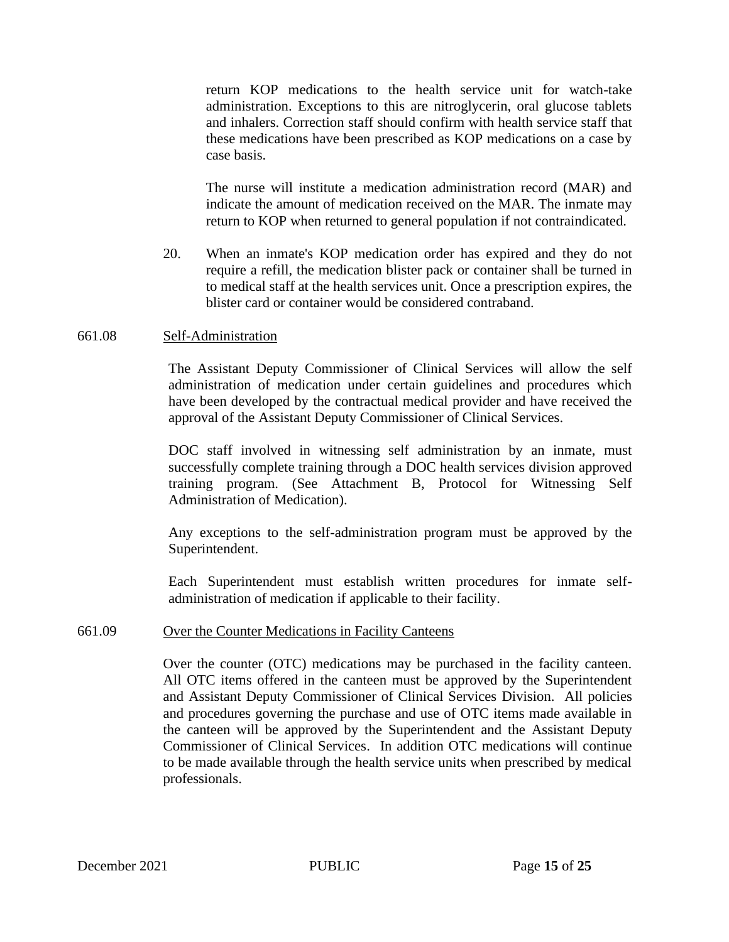return KOP medications to the health service unit for watch-take administration. Exceptions to this are nitroglycerin, oral glucose tablets and inhalers. Correction staff should confirm with health service staff that these medications have been prescribed as KOP medications on a case by case basis.

The nurse will institute a medication administration record (MAR) and indicate the amount of medication received on the MAR. The inmate may return to KOP when returned to general population if not contraindicated.

20. When an inmate's KOP medication order has expired and they do not require a refill, the medication blister pack or container shall be turned in to medical staff at the health services unit. Once a prescription expires, the blister card or container would be considered contraband.

#### 661.08 Self-Administration

The Assistant Deputy Commissioner of Clinical Services will allow the self administration of medication under certain guidelines and procedures which have been developed by the contractual medical provider and have received the approval of the Assistant Deputy Commissioner of Clinical Services.

DOC staff involved in witnessing self administration by an inmate, must successfully complete training through a DOC health services division approved training program. (See Attachment B, Protocol for Witnessing Self Administration of Medication).

Any exceptions to the self-administration program must be approved by the Superintendent.

Each Superintendent must establish written procedures for inmate selfadministration of medication if applicable to their facility.

#### 661.09 Over the Counter Medications in Facility Canteens

Over the counter (OTC) medications may be purchased in the facility canteen. All OTC items offered in the canteen must be approved by the Superintendent and Assistant Deputy Commissioner of Clinical Services Division. All policies and procedures governing the purchase and use of OTC items made available in the canteen will be approved by the Superintendent and the Assistant Deputy Commissioner of Clinical Services. In addition OTC medications will continue to be made available through the health service units when prescribed by medical professionals.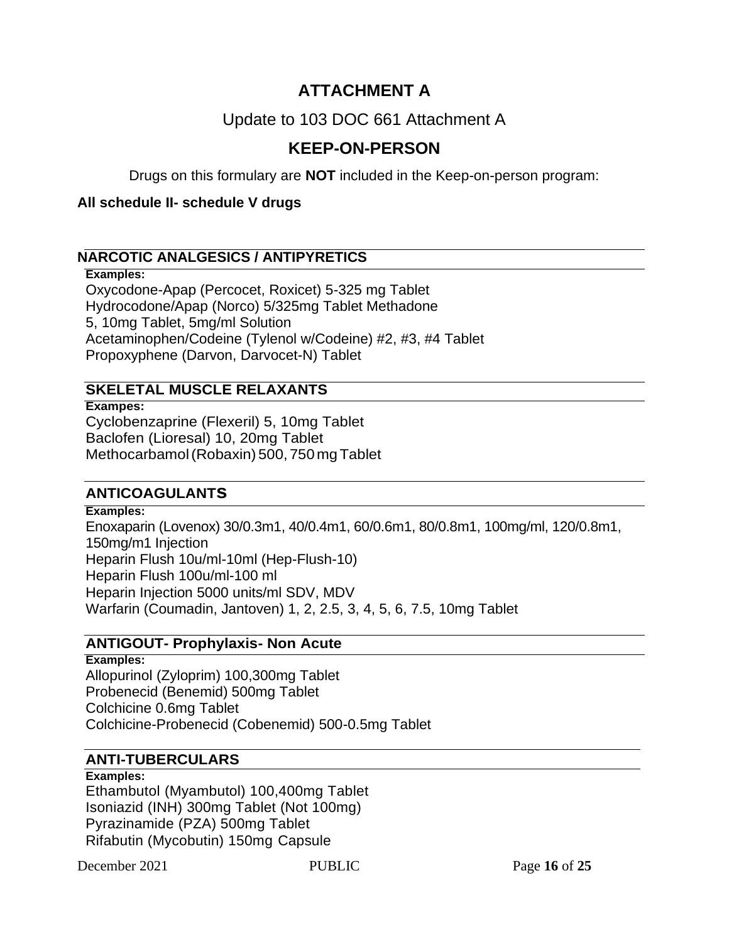# **ATTACHMENT A**

# Update to 103 DOC 661 Attachment A

# **KEEP-ON-PERSON**

Drugs on this formulary are **NOT** included in the Keep-on-person program:

### **All schedule II- schedule V drugs**

## **NARCOTIC ANALGESICS / ANTIPYRETICS**

### **Examples:**

Oxycodone-Apap (Percocet, Roxicet) 5-325 mg Tablet Hydrocodone/Apap (Norco) 5/325mg Tablet Methadone 5, 10mg Tablet, 5mg/ml Solution Acetaminophen/Codeine (Tylenol w/Codeine) #2, #3, #4 Tablet Propoxyphene (Darvon, Darvocet-N) Tablet

# **SKELETAL MUSCLE RELAXANTS**

**Exampes:** Cyclobenzaprine (Flexeril) 5, 10mg Tablet Baclofen (Lioresal) 10, 20mg Tablet Methocarbamol(Robaxin) 500,750 mgTablet

## **ANTICOAGULANTs**

### **Examples:**

Enoxaparin (Lovenox) 30/0.3m1, 40/0.4m1, 60/0.6m1, 80/0.8m1, 100mg/ml, 120/0.8m1, 150mg/m1 Injection Heparin Flush 10u/ml-10ml (Hep-Flush-10) Heparin Flush 100u/ml-100 ml Heparin Injection 5000 units/ml SDV, MDV Warfarin (Coumadin, Jantoven) 1, 2, 2.5, 3, 4, 5, 6, 7.5, 10mg Tablet

## **ANTIGOUT- Prophylaxis- Non Acute**

**Examples:** Allopurinol (Zyloprim) 100,300mg Tablet Probenecid (Benemid) 500mg Tablet Colchicine 0.6mg Tablet Colchicine-Probenecid (Cobenemid) 500-0.5mg Tablet

## **ANTI-TUBERCULARS**

#### **Examples:**

Ethambutol (Myambutol) 100,400mg Tablet Isoniazid (INH) 300mg Tablet (Not 100mg) Pyrazinamide (PZA) 500mg Tablet Rifabutin (Mycobutin) 150mg Capsule

December 2021 PUBLIC Page **16** of **25**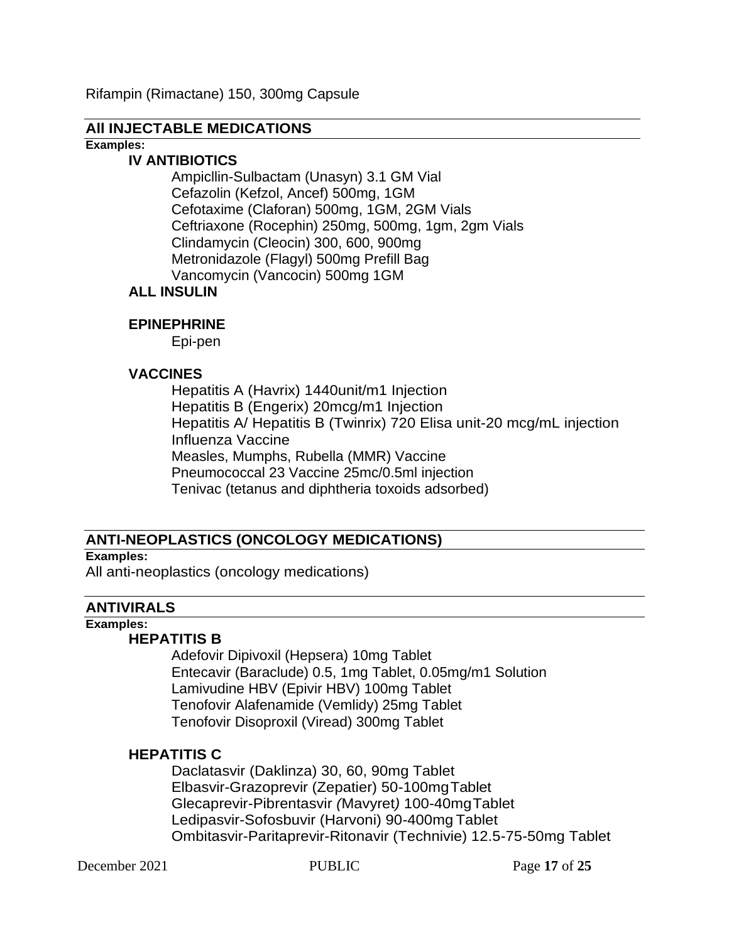Rifampin (Rimactane) 150, 300mg Capsule

#### **All INJECTABLE MEDICATIONS**

**Examples:**

#### **IV ANTIBIOTICS**

Ampicllin-Sulbactam (Unasyn) 3.1 GM Vial Cefazolin (Kefzol, Ancef) 500mg, 1GM Cefotaxime (Claforan) 500mg, 1GM, 2GM Vials Ceftriaxone (Rocephin) 250mg, 500mg, 1gm, 2gm Vials Clindamycin (Cleocin) 300, 600, 900mg Metronidazole (Flagyl) 500mg Prefill Bag Vancomycin (Vancocin) 500mg 1GM

### **ALL INSULIN**

#### **EPINEPHRINE**

Epi-pen

#### **VACCINES**

Hepatitis A (Havrix) 1440unit/m1 Injection Hepatitis B (Engerix) 20mcg/m1 Injection Hepatitis A/ Hepatitis B (Twinrix) 720 Elisa unit-20 mcg/mL injection Influenza Vaccine Measles, Mumphs, Rubella (MMR) Vaccine Pneumococcal 23 Vaccine 25mc/0.5ml injection Tenivac (tetanus and diphtheria toxoids adsorbed)

### **ANTI-NEOPLASTICS (ONCOLOGY MEDICATIONS)**

#### **Examples:**

All anti-neoplastics (oncology medications)

### **ANTIVIRALS**

# **Examples:**

#### **HEPATITIS B**

Adefovir Dipivoxil (Hepsera) 10mg Tablet Entecavir (Baraclude) 0.5, 1mg Tablet, 0.05mg/m1 Solution Lamivudine HBV (Epivir HBV) 100mg Tablet Tenofovir Alafenamide (Vemlidy) 25mg Tablet Tenofovir Disoproxil (Viread) 300mg Tablet

### **HEPATITIS C**

Daclatasvir (Daklinza) 30, 60, 90mg Tablet Elbasvir-Grazoprevir (Zepatier) 50-100mgTablet Glecaprevir-Pibrentasvir *(*Mavyret*)* 100-40mgTablet Ledipasvir-Sofosbuvir (Harvoni) 90-400mg Tablet Ombitasvir-Paritaprevir-Ritonavir (Technivie) 12.5-75-50mg Tablet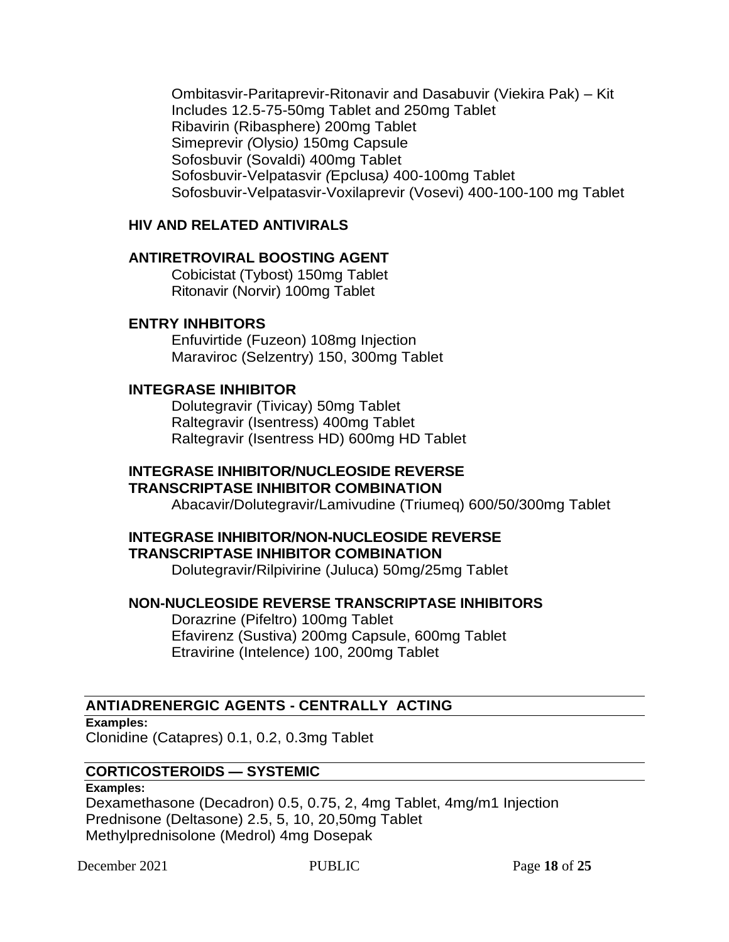Ombitasvir-Paritaprevir-Ritonavir and Dasabuvir (Viekira Pak) – Kit Includes 12.5-75-50mg Tablet and 250mg Tablet Ribavirin (Ribasphere) 200mg Tablet Simeprevir *(*Olysio*)* 150mg Capsule Sofosbuvir (Sovaldi) 400mg Tablet Sofosbuvir-Velpatasvir *(*Epclusa*)* 400-100mg Tablet Sofosbuvir-Velpatasvir-Voxilaprevir (Vosevi) 400-100-100 mg Tablet

### **HIV AND RELATED ANTIVIRALS**

### **ANTIRETROVIRAL BOOSTING AGENT**

Cobicistat (Tybost) 150mg Tablet Ritonavir (Norvir) 100mg Tablet

### **ENTRY INHBITORS**

Enfuvirtide (Fuzeon) 108mg Injection Maraviroc (Selzentry) 150, 300mg Tablet

#### **INTEGRASE INHIBITOR**

Dolutegravir (Tivicay) 50mg Tablet Raltegravir (Isentress) 400mg Tablet Raltegravir (Isentress HD) 600mg HD Tablet

#### **INTEGRASE INHIBITOR/NUCLEOSIDE REVERSE TRANSCRIPTASE INHIBITOR COMBINATION**

Abacavir/Dolutegravir/Lamivudine (Triumeq) 600/50/300mg Tablet

### **INTEGRASE INHIBITOR/NON-NUCLEOSIDE REVERSE TRANSCRIPTASE INHIBITOR COMBINATION**

Dolutegravir/Rilpivirine (Juluca) 50mg/25mg Tablet

### **NON-NUCLEOSIDE REVERSE TRANSCRIPTASE INHIBITORS**

Dorazrine (Pifeltro) 100mg Tablet Efavirenz (Sustiva) 200mg Capsule, 600mg Tablet Etravirine (Intelence) 100, 200mg Tablet

### **ANTIADRENERGIC AGENTS - CENTRALLY ACTING**

**Examples:** Clonidine (Catapres) 0.1, 0.2, 0.3mg Tablet

### **CORTICOSTEROIDS — SYSTEMIC**

#### **Examples:**

Dexamethasone (Decadron) 0.5, 0.75, 2, 4mg Tablet, 4mg/m1 Injection Prednisone (Deltasone) 2.5, 5, 10, 20,50mg Tablet Methylprednisolone (Medrol) 4mg Dosepak

December 2021 PUBLIC Page **18** of **25**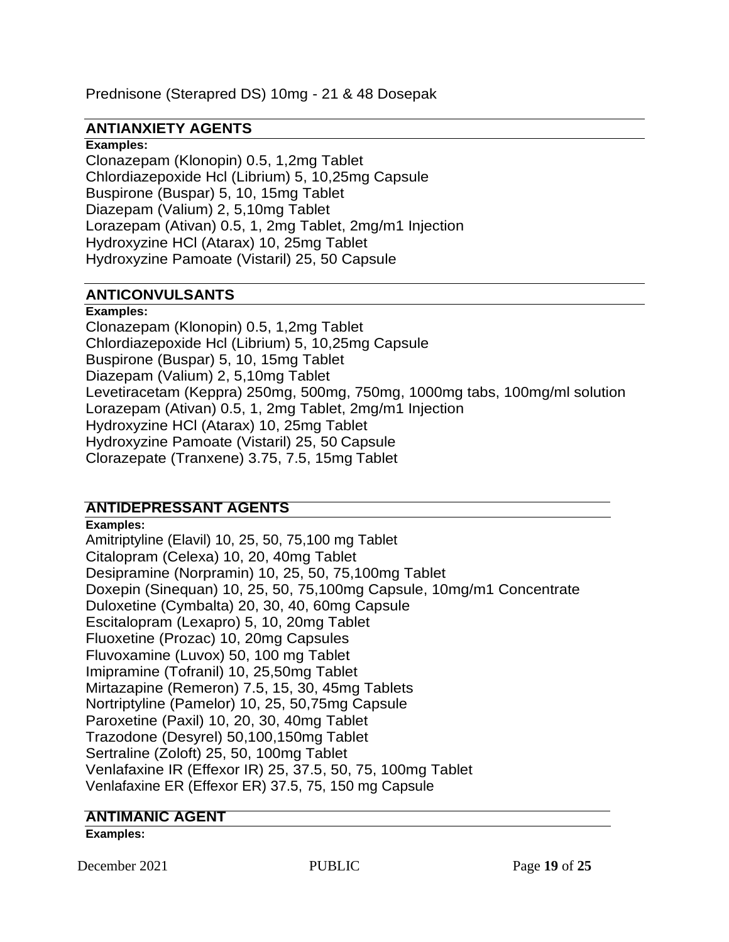Prednisone (Sterapred DS) 10mg - 21 & 48 Dosepak

### **ANTIANXIETY AGENTS**

#### **Examples:**

Clonazepam (Klonopin) 0.5, 1,2mg Tablet Chlordiazepoxide Hcl (Librium) 5, 10,25mg Capsule Buspirone (Buspar) 5, 10, 15mg Tablet Diazepam (Valium) 2, 5,10mg Tablet Lorazepam (Ativan) 0.5, 1, 2mg Tablet, 2mg/m1 Injection Hydroxyzine HCl (Atarax) 10, 25mg Tablet Hydroxyzine Pamoate (Vistaril) 25, 50 Capsule

## **ANTICONVULSANTS**

#### **Examples:**

Clonazepam (Klonopin) 0.5, 1,2mg Tablet Chlordiazepoxide Hcl (Librium) 5, 10,25mg Capsule Buspirone (Buspar) 5, 10, 15mg Tablet Diazepam (Valium) 2, 5,10mg Tablet Levetiracetam (Keppra) 250mg, 500mg, 750mg, 1000mg tabs, 100mg/ml solution Lorazepam (Ativan) 0.5, 1, 2mg Tablet, 2mg/m1 Injection Hydroxyzine HCl (Atarax) 10, 25mg Tablet Hydroxyzine Pamoate (Vistaril) 25, 50 Capsule Clorazepate (Tranxene) 3.75, 7.5, 15mg Tablet

## **ANTIDEPRESSANT AGENTS**

**Examples:** Amitriptyline (Elavil) 10, 25, 50, 75,100 mg Tablet Citalopram (Celexa) 10, 20, 40mg Tablet Desipramine (Norpramin) 10, 25, 50, 75,100mg Tablet Doxepin (Sinequan) 10, 25, 50, 75,100mg Capsule, 10mg/m1 Concentrate Duloxetine (Cymbalta) 20, 30, 40, 60mg Capsule Escitalopram (Lexapro) 5, 10, 20mg Tablet Fluoxetine (Prozac) 10, 20mg Capsules Fluvoxamine (Luvox) 50, 100 mg Tablet Imipramine (Tofranil) 10, 25,50mg Tablet Mirtazapine (Remeron) 7.5, 15, 30, 45mg Tablets Nortriptyline (Pamelor) 10, 25, 50,75mg Capsule Paroxetine (Paxil) 10, 20, 30, 40mg Tablet Trazodone (Desyrel) 50,100,150mg Tablet Sertraline (Zoloft) 25, 50, 100mg Tablet Venlafaxine IR (Effexor IR) 25, 37.5, 50, 75, 100mg Tablet Venlafaxine ER (Effexor ER) 37.5, 75, 150 mg Capsule

## **ANTIMANIC AGENT**

#### **Examples:**

December 2021 PUBLIC Page 19 of 25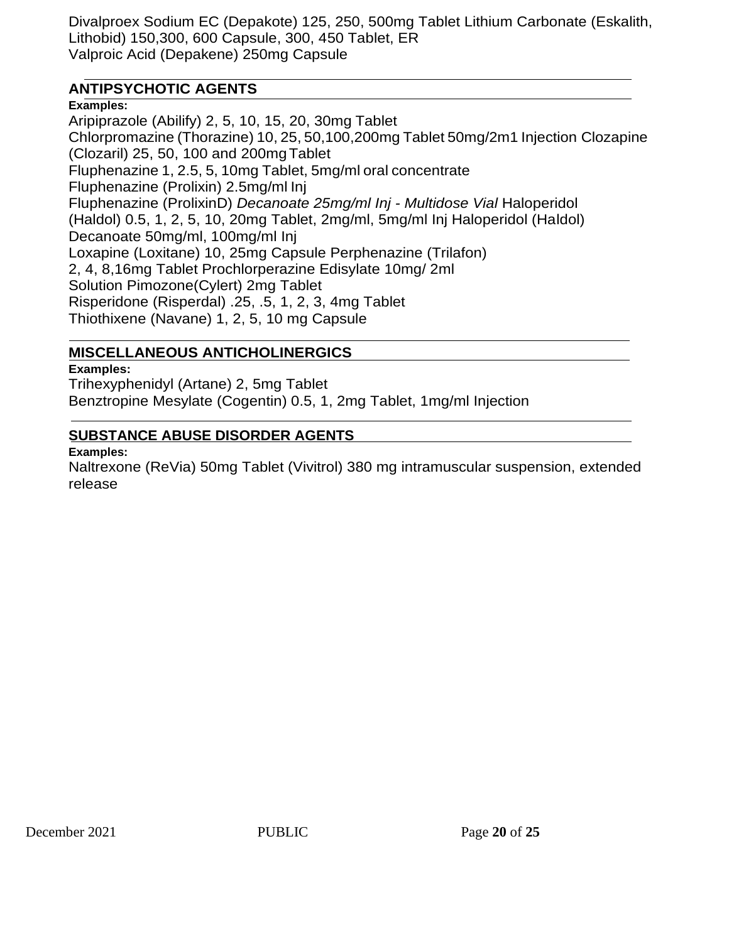Divalproex Sodium EC (Depakote) 125, 250, 500mg Tablet Lithium Carbonate (Eskalith, Lithobid) 150,300, 600 Capsule, 300, 450 Tablet, ER Valproic Acid (Depakene) 250mg Capsule

# **ANTIPSYCHOTIC AGENTS**

**Examples:**

Aripiprazole (Abilify) 2, 5, 10, 15, 20, 30mg Tablet Chlorpromazine (Thorazine) 10, 25, 50,100,200mg Tablet 50mg/2m1 Injection Clozapine (Clozaril) 25, 50, 100 and 200mgTablet Fluphenazine 1, 2.5, 5, 10mg Tablet, 5mg/ml oral concentrate Fluphenazine (Prolixin) 2.5mg/ml Inj Fluphenazine (ProlixinD) *Decanoate 25mg/ml Inj - Multidose Vial* Haloperidol (Haldol) 0.5, 1, 2, 5, 10, 20mg Tablet, 2mg/ml, 5mg/ml Inj Haloperidol (Haldol) Decanoate 50mg/ml, 100mg/ml Inj Loxapine (Loxitane) 10, 25mg Capsule Perphenazine (Trilafon) 2, 4, 8,16mg Tablet Prochlorperazine Edisylate 10mg/ 2ml Solution Pimozone(Cylert) 2mg Tablet Risperidone (Risperdal) .25, .5, 1, 2, 3, 4mg Tablet Thiothixene (Navane) 1, 2, 5, 10 mg Capsule

# **MISCELLANEOUS ANTICHOLINERGICS**

**Examples:**

Trihexyphenidyl (Artane) 2, 5mg Tablet Benztropine Mesylate (Cogentin) 0.5, 1, 2mg Tablet, 1mg/ml Injection

## **SUBSTANCE ABUSE DISORDER AGENTS**

#### **Examples:**

Naltrexone (ReVia) 50mg Tablet (Vivitrol) 380 mg intramuscular suspension, extended release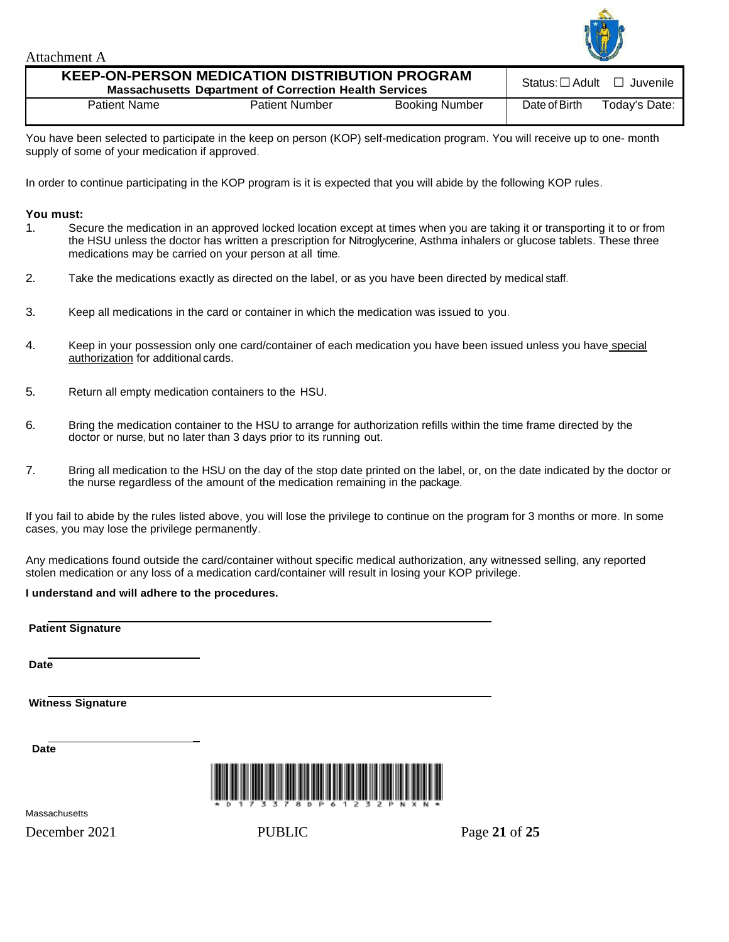

Attachment A

| <b>KEEP-ON-PERSON MEDICATION DISTRIBUTION PROGRAM</b><br><b>Massachusetts Department of Correction Health Services</b> |                       |                       |               | Status: $\Box$ Adult $\Box$ Juvenile |
|------------------------------------------------------------------------------------------------------------------------|-----------------------|-----------------------|---------------|--------------------------------------|
| <b>Patient Name</b>                                                                                                    | <b>Patient Number</b> | <b>Booking Number</b> | Date of Birth | Today's Date:                        |

You have been selected to participate in the keep on person (KOP) self-medication program. You will receive up to one- month supply of some of your medication if approved.

In order to continue participating in the KOP program is it is expected that you will abide by the following KOP rules.

#### **You must:**

- 1. Secure the medication in an approved locked location except at times when you are taking it or transporting it to or from the HSU unless the doctor has written a prescription for Nitroglycerine, Asthma inhalers or glucose tablets. These three medications may be carried on your person at all time.
- 2. Take the medications exactly as directed on the label, or as you have been directed by medical staff.
- 3. Keep all medications in the card or container in which the medication was issued to you.
- 4. Keep in your possession only one card/container of each medication you have been issued unless you have special authorization for additional cards.
- 5. Return all empty medication containers to the HSU.
- 6. Bring the medication container to the HSU to arrange for authorization refills within the time frame directed by the doctor or nurse, but no later than 3 days prior to its running out.
- 7. Bring all medication to the HSU on the day of the stop date printed on the label, or, on the date indicated by the doctor or the nurse regardless of the amount of the medication remaining in the package.

If you fail to abide by the rules listed above, you will lose the privilege to continue on the program for 3 months or more. In some cases, you may lose the privilege permanently.

Any medications found outside the card/container without specific medical authorization, any witnessed selling, any reported stolen medication or any loss of a medication card/container will result in losing your KOP privilege.

#### **I understand and will adhere to the procedures.**

| <b>Patient Signature</b> |  |
|--------------------------|--|
|--------------------------|--|

**Date**

**Witness Signature**

 **Date**



Massachusetts

December 2021 **PUBLIC** Page 21 of 25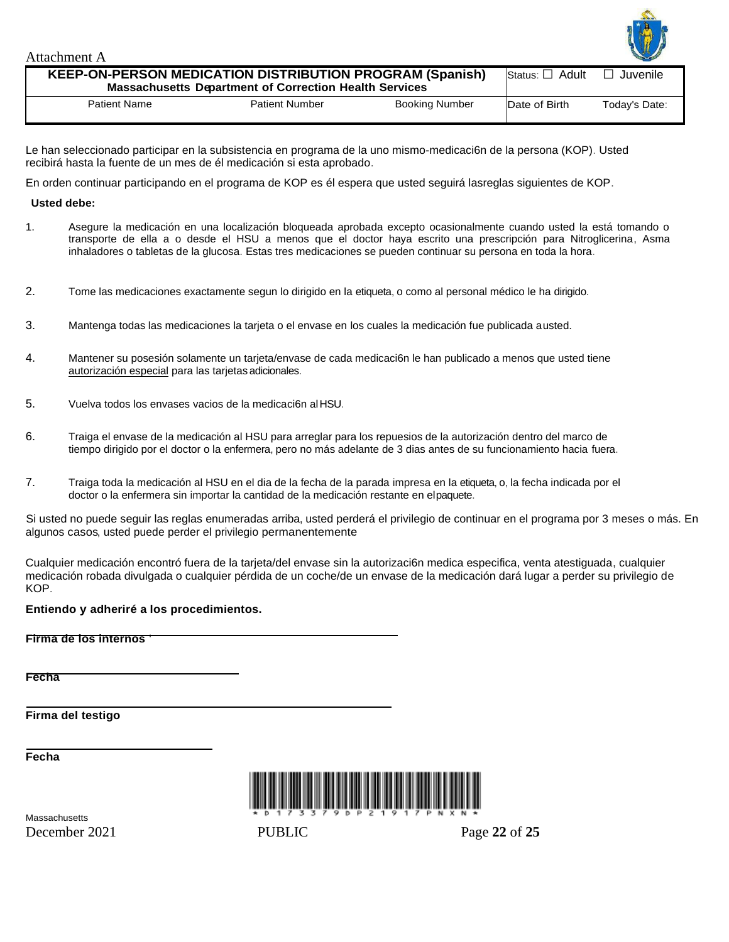| Attachment A                                                                                                                     |                       |                       |               | LI            |
|----------------------------------------------------------------------------------------------------------------------------------|-----------------------|-----------------------|---------------|---------------|
| <b>KEEP-ON-PERSON MEDICATION DISTRIBUTION PROGRAM (Spanish)</b><br><b>Massachusetts Department of Correction Health Services</b> | Status: □ Adult       | $\Box$ Juvenile       |               |               |
| <b>Patient Name</b>                                                                                                              | <b>Patient Number</b> | <b>Booking Number</b> | Date of Birth | Today's Date: |

Le han seleccionado participar en la subsistencia en programa de la uno mismo-medicaci6n de la persona (KOP). Usted recibirá hasta la fuente de un mes de él medicación si esta aprobado.

En orden continuar participando en el programa de KOP es él espera que usted seguirá lasreglas siguientes de KOP.

#### **Usted debe:**

- 1. Asegure la medicación en una localización bloqueada aprobada excepto ocasionalmente cuando usted la está tomando o transporte de ella a o desde el HSU a menos que el doctor haya escrito una prescripción para Nitroglicerina, Asma inhaladores o tabletas de la glucosa. Estas tres medicaciones se pueden continuar su persona en toda la hora.
- 2. Tome las medicaciones exactamente segun lo dirigido en la etiqueta, o como al personal médico le ha dirigido.
- 3. Mantenga todas las medicaciones la tarjeta o el envase en los cuales la medicación fue publicada austed.
- 4. Mantener su posesión solamente un tarjeta/envase de cada medicaci6n le han publicado a menos que usted tiene autorización especial para las tarjetas adicionales.
- 5. Vuelva todos los envases vacios de la medicaci6n alHSU.
- 6. Traiga el envase de la medicación al HSU para arreglar para los repuesios de la autorización dentro del marco de tiempo dirigido por el doctor o la enfermera, pero no más adelante de 3 dias antes de su funcionamiento hacia fuera.
- 7. Traiga toda la medicación al HSU en el dia de la fecha de la parada impresa en la etiqueta, o, la fecha indicada por el doctor o la enfermera sin importar la cantidad de la medicación restante en elpaquete.

Si usted no puede seguir las reglas enumeradas arriba, usted perderá el privilegio de continuar en el programa por 3 meses o más. En algunos casos, usted puede perder el privilegio permanentemente.

Cualquier medicación encontró fuera de la tarjeta/del envase sin la autorizaci6n medica especifica, venta atestiguada, cualquier medicación robada divulgada o cualquier pérdida de un coche/de un envase de la medicación dará lugar a perder su privilegio de KOP.

#### **Entiendo y adheriré a los procedimientos.**

**Firma de los internos** '

**Fecha**

**Firma del testigo**

**Fecha**



December 2021 PUBLIC Page **22** of **25 Massachusetts**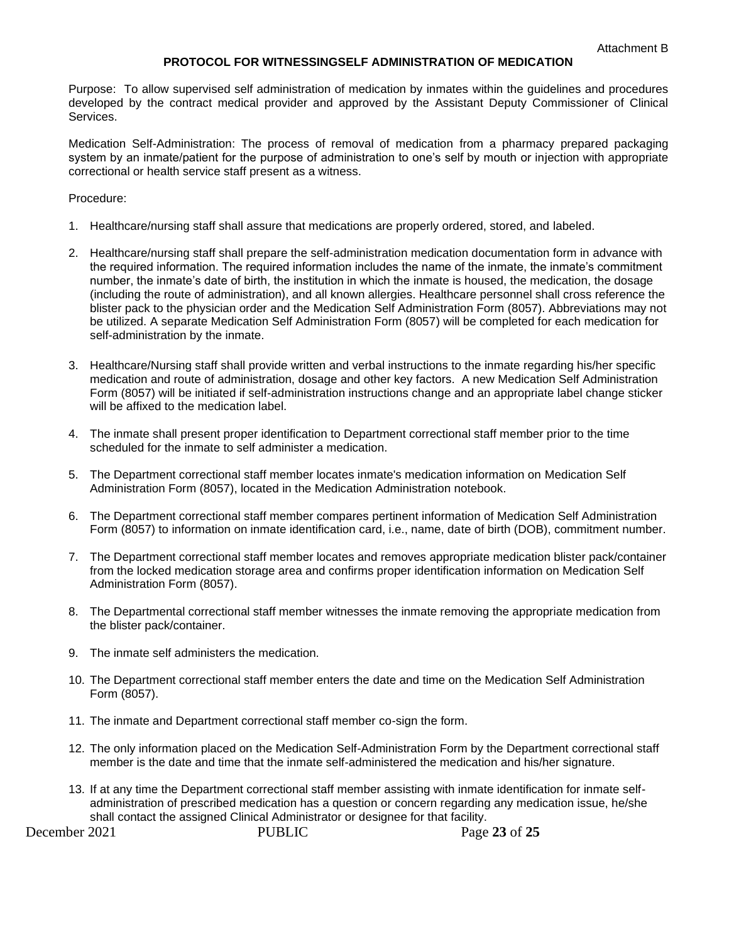#### **PROTOCOL FOR WITNESSINGSELF ADMINISTRATION OF MEDICATION**

Purpose: To allow supervised self administration of medication by inmates within the guidelines and procedures developed by the contract medical provider and approved by the Assistant Deputy Commissioner of Clinical Services.

Medication Self-Administration: The process of removal of medication from a pharmacy prepared packaging system by an inmate/patient for the purpose of administration to one's self by mouth or injection with appropriate correctional or health service staff present as a witness.

#### Procedure:

- 1. Healthcare/nursing staff shall assure that medications are properly ordered, stored, and labeled.
- 2. Healthcare/nursing staff shall prepare the self-administration medication documentation form in advance with the required information. The required information includes the name of the inmate, the inmate's commitment number, the inmate's date of birth, the institution in which the inmate is housed, the medication, the dosage (including the route of administration), and all known allergies. Healthcare personnel shall cross reference the blister pack to the physician order and the Medication Self Administration Form (8057). Abbreviations may not be utilized. A separate Medication Self Administration Form (8057) will be completed for each medication for self-administration by the inmate.
- 3. Healthcare/Nursing staff shall provide written and verbal instructions to the inmate regarding his/her specific medication and route of administration, dosage and other key factors. A new Medication Self Administration Form (8057) will be initiated if self-administration instructions change and an appropriate label change sticker will be affixed to the medication label.
- 4. The inmate shall present proper identification to Department correctional staff member prior to the time scheduled for the inmate to self administer a medication.
- 5. The Department correctional staff member locates inmate's medication information on Medication Self Administration Form (8057), located in the Medication Administration notebook.
- 6. The Department correctional staff member compares pertinent information of Medication Self Administration Form (8057) to information on inmate identification card, i.e., name, date of birth (DOB), commitment number.
- 7. The Department correctional staff member locates and removes appropriate medication blister pack/container from the locked medication storage area and confirms proper identification information on Medication Self Administration Form (8057).
- 8. The Departmental correctional staff member witnesses the inmate removing the appropriate medication from the blister pack/container.
- 9. The inmate self administers the medication.
- 10. The Department correctional staff member enters the date and time on the Medication Self Administration Form (8057).
- 11. The inmate and Department correctional staff member co-sign the form.
- 12. The only information placed on the Medication Self-Administration Form by the Department correctional staff member is the date and time that the inmate self-administered the medication and his/her signature.
- 13. If at any time the Department correctional staff member assisting with inmate identification for inmate selfadministration of prescribed medication has a question or concern regarding any medication issue, he/she shall contact the assigned Clinical Administrator or designee for that facility.

December 2021 PUBLIC Page **23** of **25**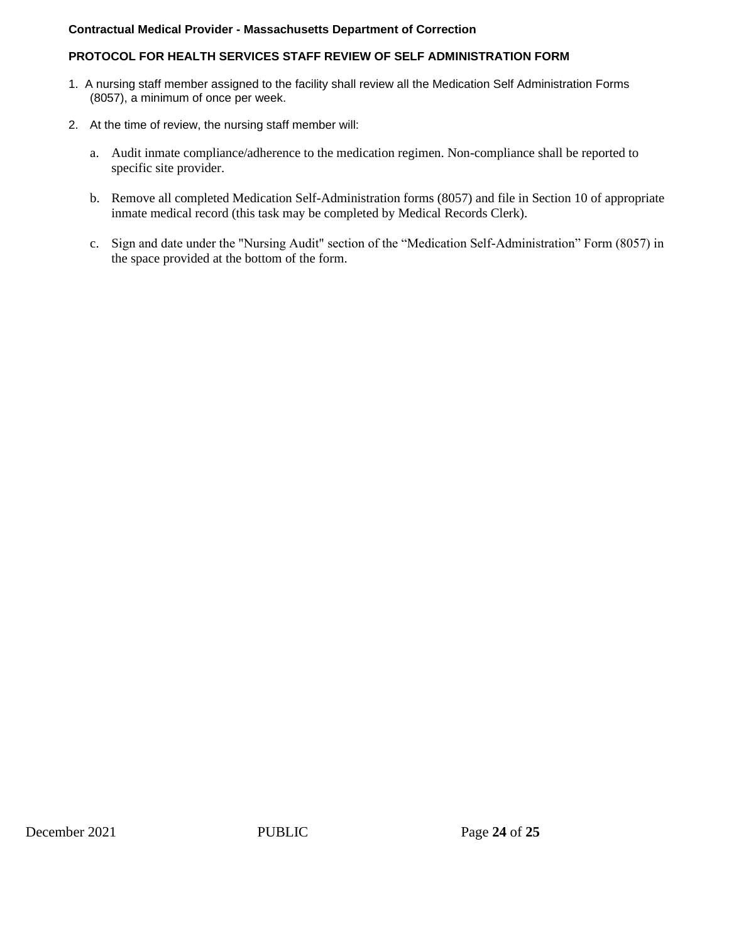#### **Contractual Medical Provider - Massachusetts Department of Correction**

#### **PROTOCOL FOR HEALTH SERVICES STAFF REVIEW OF SELF ADMINISTRATION FORM**

- 1. A nursing staff member assigned to the facility shall review all the Medication Self Administration Forms (8057), a minimum of once per week.
- 2. At the time of review, the nursing staff member will:
	- a. Audit inmate compliance/adherence to the medication regimen. Non-compliance shall be reported to specific site provider.
	- b. Remove all completed Medication Self-Administration forms (8057) and file in Section 10 of appropriate inmate medical record (this task may be completed by Medical Records Clerk).
	- c. Sign and date under the "Nursing Audit" section of the "Medication Self-Administration" Form (8057) in the space provided at the bottom of the form.